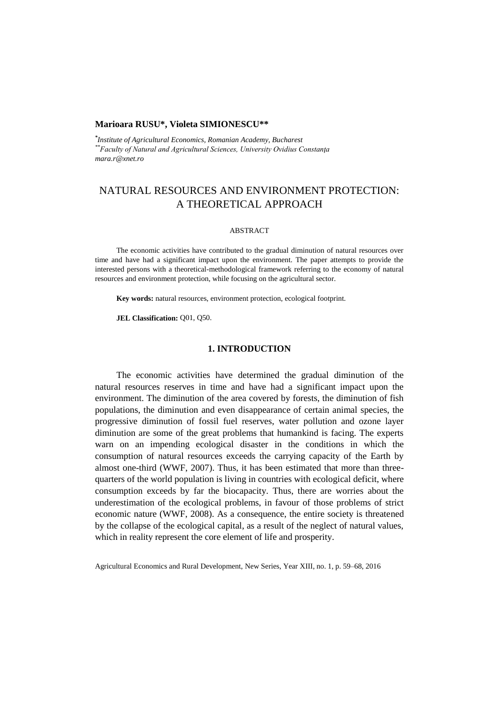#### **Marioara RUSU\*, Violeta SIMIONESCU\*\***

*\* Institute of Agricultural Economics, Romanian Academy, Bucharest \*\*Faculty of Natural and Agricultural Sciences, University Ovidius Constanţa mara.r@xnet.ro*

# NATURAL RESOURCES AND ENVIRONMENT PROTECTION: A THEORETICAL APPROACH

#### ABSTRACT

The economic activities have contributed to the gradual diminution of natural resources over time and have had a significant impact upon the environment. The paper attempts to provide the interested persons with a theoretical-methodological framework referring to the economy of natural resources and environment protection, while focusing on the agricultural sector.

**Key words:** natural resources, environment protection, ecological footprint.

**JEL Classification:** Q01, Q50.

#### **1. INTRODUCTION**

The economic activities have determined the gradual diminution of the natural resources reserves in time and have had a significant impact upon the environment. The diminution of the area covered by forests, the diminution of fish populations, the diminution and even disappearance of certain animal species, the progressive diminution of fossil fuel reserves, water pollution and ozone layer diminution are some of the great problems that humankind is facing. The experts warn on an impending ecological disaster in the conditions in which the consumption of natural resources exceeds the carrying capacity of the Earth by almost one-third (WWF, 2007). Thus, it has been estimated that more than threequarters of the world population is living in countries with ecological deficit, where consumption exceeds by far the biocapacity. Thus, there are worries about the underestimation of the ecological problems, in favour of those problems of strict economic nature (WWF, 2008). As a consequence, the entire society is threatened by the collapse of the ecological capital, as a result of the neglect of natural values, which in reality represent the core element of life and prosperity.

Agricultural Economics and Rural Development, New Series, Year XIII, no. 1, p. 59–68, 2016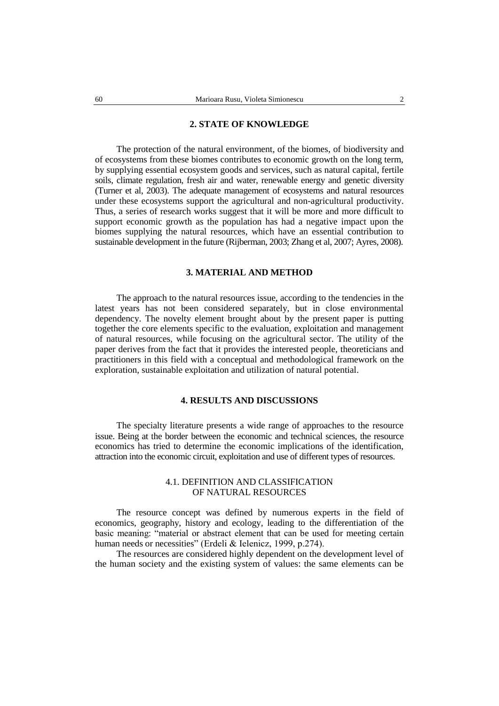## **2. STATE OF KNOWLEDGE**

The protection of the natural environment, of the biomes, of biodiversity and of ecosystems from these biomes contributes to economic growth on the long term, by supplying essential ecosystem goods and services, such as natural capital, fertile soils, climate regulation, fresh air and water, renewable energy and genetic diversity (Turner et al, 2003). The adequate management of ecosystems and natural resources under these ecosystems support the agricultural and non-agricultural productivity. Thus, a series of research works suggest that it will be more and more difficult to support economic growth as the population has had a negative impact upon the biomes supplying the natural resources, which have an essential contribution to sustainable development in the future (Rijberman, 2003; Zhang et al, 2007; Ayres, 2008).

## **3. MATERIAL AND METHOD**

The approach to the natural resources issue, according to the tendencies in the latest years has not been considered separately, but in close environmental dependency. The novelty element brought about by the present paper is putting together the core elements specific to the evaluation, exploitation and management of natural resources, while focusing on the agricultural sector. The utility of the paper derives from the fact that it provides the interested people, theoreticians and practitioners in this field with a conceptual and methodological framework on the exploration, sustainable exploitation and utilization of natural potential.

# **4. RESULTS AND DISCUSSIONS**

The specialty literature presents a wide range of approaches to the resource issue. Being at the border between the economic and technical sciences, the resource economics has tried to determine the economic implications of the identification, attraction into the economic circuit, exploitation and use of different types of resources.

## 4.1. DEFINITION AND CLASSIFICATION OF NATURAL RESOURCES

The resource concept was defined by numerous experts in the field of economics, geography, history and ecology, leading to the differentiation of the basic meaning: "material or abstract element that can be used for meeting certain human needs or necessities" (Erdeli & Ielenicz, 1999, p.274).

The resources are considered highly dependent on the development level of the human society and the existing system of values: the same elements can be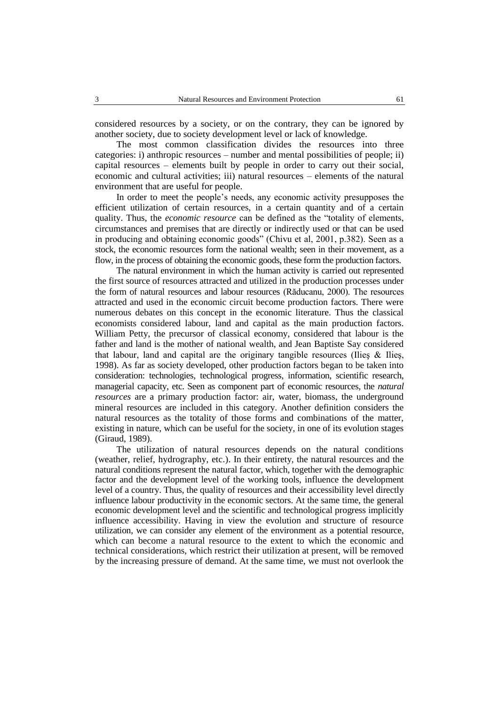considered resources by a society, or on the contrary, they can be ignored by another society, due to society development level or lack of knowledge.

The most common classification divides the resources into three categories: i) anthropic resources – number and mental possibilities of people; ii) capital resources – elements built by people in order to carry out their social, economic and cultural activities; iii) natural resources – elements of the natural environment that are useful for people.

In order to meet the people's needs, any economic activity presupposes the efficient utilization of certain resources, in a certain quantity and of a certain quality. Thus, the *economic resource* can be defined as the "totality of elements, circumstances and premises that are directly or indirectly used or that can be used in producing and obtaining economic goods" (Chivu et al, 2001, p.382). Seen as a stock, the economic resources form the national wealth; seen in their movement, as a flow, in the process of obtaining the economic goods, these form the production factors.

The natural environment in which the human activity is carried out represented the first source of resources attracted and utilized in the production processes under the form of natural resources and labour resources (Răducanu, 2000). The resources attracted and used in the economic circuit become production factors. There were numerous debates on this concept in the economic literature. Thus the classical economists considered labour, land and capital as the main production factors. William Petty, the precursor of classical economy, considered that labour is the father and land is the mother of national wealth, and Jean Baptiste Say considered that labour, land and capital are the originary tangible resources (Ilies  $\&$  Ilies, 1998). As far as society developed, other production factors began to be taken into consideration: technologies, technological progress, information, scientific research, managerial capacity, etc. Seen as component part of economic resources, the *natural resources* are a primary production factor: air, water, biomass, the underground mineral resources are included in this category. Another definition considers the natural resources as the totality of those forms and combinations of the matter, existing in nature, which can be useful for the society, in one of its evolution stages (Giraud, 1989).

The utilization of natural resources depends on the natural conditions (weather, relief, hydrography, etc.). In their entirety, the natural resources and the natural conditions represent the natural factor, which, together with the demographic factor and the development level of the working tools, influence the development level of a country. Thus, the quality of resources and their accessibility level directly influence labour productivity in the economic sectors. At the same time, the general economic development level and the scientific and technological progress implicitly influence accessibility. Having in view the evolution and structure of resource utilization, we can consider any element of the environment as a potential resource, which can become a natural resource to the extent to which the economic and technical considerations, which restrict their utilization at present, will be removed by the increasing pressure of demand. At the same time, we must not overlook the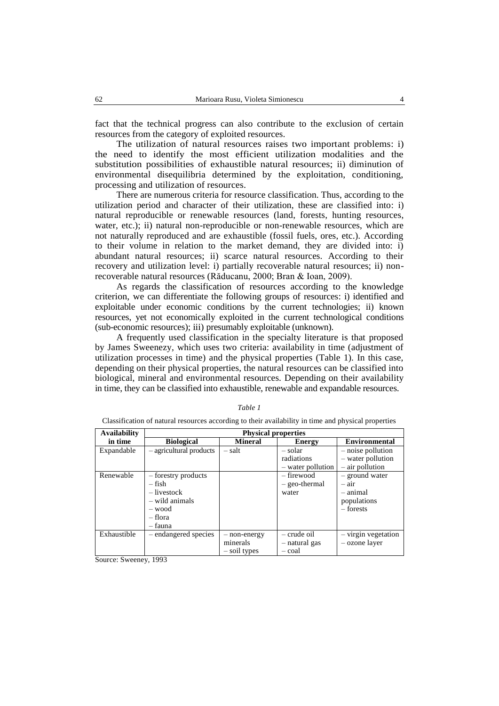fact that the technical progress can also contribute to the exclusion of certain resources from the category of exploited resources.

The utilization of natural resources raises two important problems: i) the need to identify the most efficient utilization modalities and the substitution possibilities of exhaustible natural resources; ii) diminution of environmental disequilibria determined by the exploitation, conditioning, processing and utilization of resources.

There are numerous criteria for resource classification. Thus, according to the utilization period and character of their utilization, these are classified into: i) natural reproducible or renewable resources (land, forests, hunting resources, water, etc.); ii) natural non-reproducible or non-renewable resources, which are not naturally reproduced and are exhaustible (fossil fuels, ores, etc.). According to their volume in relation to the market demand, they are divided into: i) abundant natural resources; ii) scarce natural resources. According to their recovery and utilization level: i) partially recoverable natural resources; ii) nonrecoverable natural resources (Răducanu, 2000; Bran & Ioan, 2009).

As regards the classification of resources according to the knowledge criterion, we can differentiate the following groups of resources: i) identified and exploitable under economic conditions by the current technologies; ii) known resources, yet not economically exploited in the current technological conditions (sub-economic resources); iii) presumably exploitable (unknown).

A frequently used classification in the specialty literature is that proposed by James Sweenezy, which uses two criteria: availability in time (adjustment of utilization processes in time) and the physical properties (Table 1). In this case, depending on their physical properties, the natural resources can be classified into biological, mineral and environmental resources. Depending on their availability in time, they can be classified into exhaustible, renewable and expandable resources.

| <b>Availability</b> | <b>Physical properties</b> |                |                   |                       |
|---------------------|----------------------------|----------------|-------------------|-----------------------|
| in time             | <b>Biological</b>          | <b>Mineral</b> | <b>Energy</b>     | <b>Environmental</b>  |
| Expandable          | - agricultural products    | – salt         | – solar           | - noise pollution     |
|                     |                            |                | radiations        | - water pollution     |
|                     |                            |                | - water pollution | - air pollution       |
| Renewable           | - forestry products        |                | $-$ firewood      | - ground water        |
|                     | – fish                     |                | $-$ geo-thermal   | $-$ air               |
|                     | $-$ livestock              |                | water             | – animal              |
|                     | - wild animals             |                |                   | populations           |
|                     | - wood                     |                |                   | $-$ forests           |
|                     | – flora                    |                |                   |                       |
|                     | – fauna                    |                |                   |                       |
| Exhaustible         | - endangered species       | - non-energy   | $-$ crude oil     | $-$ virgin vegetation |
|                     |                            | minerals       | - natural gas     | - ozone layer         |
|                     |                            | - soil types   | – coal            |                       |

#### *Table 1*

Classification of natural resources according to their availability in time and physical properties

Source: Sweeney, 1993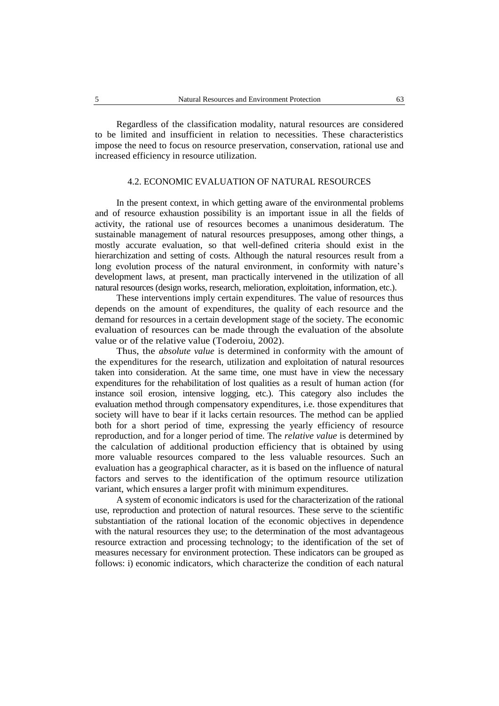Regardless of the classification modality, natural resources are considered to be limited and insufficient in relation to necessities. These characteristics impose the need to focus on resource preservation, conservation, rational use and increased efficiency in resource utilization.

## 4.2. ECONOMIC EVALUATION OF NATURAL RESOURCES

In the present context, in which getting aware of the environmental problems and of resource exhaustion possibility is an important issue in all the fields of activity, the rational use of resources becomes a unanimous desideratum. The sustainable management of natural resources presupposes, among other things, a mostly accurate evaluation, so that well-defined criteria should exist in the hierarchization and setting of costs. Although the natural resources result from a long evolution process of the natural environment, in conformity with nature's development laws, at present, man practically intervened in the utilization of all natural resources (design works, research, melioration, exploitation, information, etc.).

These interventions imply certain expenditures. The value of resources thus depends on the amount of expenditures, the quality of each resource and the demand for resources in a certain development stage of the society. The economic evaluation of resources can be made through the evaluation of the absolute value or of the relative value (Toderoiu, 2002).

Thus, the *absolute value* is determined in conformity with the amount of the expenditures for the research, utilization and exploitation of natural resources taken into consideration. At the same time, one must have in view the necessary expenditures for the rehabilitation of lost qualities as a result of human action (for instance soil erosion, intensive logging, etc.). This category also includes the evaluation method through compensatory expenditures, i.e. those expenditures that society will have to bear if it lacks certain resources. The method can be applied both for a short period of time, expressing the yearly efficiency of resource reproduction, and for a longer period of time. The *relative value* is determined by the calculation of additional production efficiency that is obtained by using more valuable resources compared to the less valuable resources. Such an evaluation has a geographical character, as it is based on the influence of natural factors and serves to the identification of the optimum resource utilization variant, which ensures a larger profit with minimum expenditures.

A system of economic indicators is used for the characterization of the rational use, reproduction and protection of natural resources. These serve to the scientific substantiation of the rational location of the economic objectives in dependence with the natural resources they use; to the determination of the most advantageous resource extraction and processing technology; to the identification of the set of measures necessary for environment protection. These indicators can be grouped as follows: i) economic indicators, which characterize the condition of each natural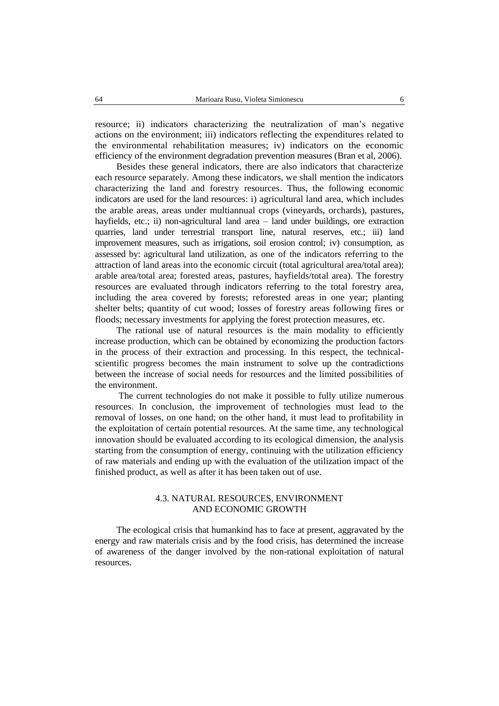resource; ii) indicators characterizing the neutralization of man's negative actions on the environment; iii) indicators reflecting the expenditures related to the environmental rehabilitation measures; iv) indicators on the economic efficiency of the environment degradation prevention measures (Bran et al, 2006).

Besides these general indicators, there are also indicators that characterize each resource separately. Among these indicators, we shall mention the indicators characterizing the land and forestry resources. Thus, the following economic indicators are used for the land resources: i) agricultural land area, which includes the arable areas, areas under multiannual crops (vineyards, orchards), pastures, hayfields, etc.; ii) non-agricultural land area – land under buildings, ore extraction quarries, land under terrestrial transport line, natural reserves, etc.; iii) land improvement measures, such as irrigations, soil erosion control; iv) consumption, as assessed by: agricultural land utilization, as one of the indicators referring to the attraction of land areas into the economic circuit (total agricultural area/total area); arable area/total area; forested areas, pastures, hayfields/total area). The forestry resources are evaluated through indicators referring to the total forestry area, including the area covered by forests; reforested areas in one year; planting shelter belts; quantity of cut wood; losses of forestry areas following fires or floods; necessary investments for applying the forest protection measures, etc.

The rational use of natural resources is the main modality to efficiently increase production, which can be obtained by economizing the production factors in the process of their extraction and processing. In this respect, the technicalscientific progress becomes the main instrument to solve up the contradictions between the increase of social needs for resources and the limited possibilities of the environment.

The current technologies do not make it possible to fully utilize numerous resources. In conclusion, the improvement of technologies must lead to the removal of losses, on one hand; on the other hand, it must lead to profitability in the exploitation of certain potential resources. At the same time, any technological innovation should be evaluated according to its ecological dimension, the analysis starting from the consumption of energy, continuing with the utilization efficiency of raw materials and ending up with the evaluation of the utilization impact of the finished product, as well as after it has been taken out of use.

# 4.3. NATURAL RESOURCES, ENVIRONMENT AND ECONOMIC GROWTH

The ecological crisis that humankind has to face at present, aggravated by the energy and raw materials crisis and by the food crisis, has determined the increase of awareness of the danger involved by the non-rational exploitation of natural resources.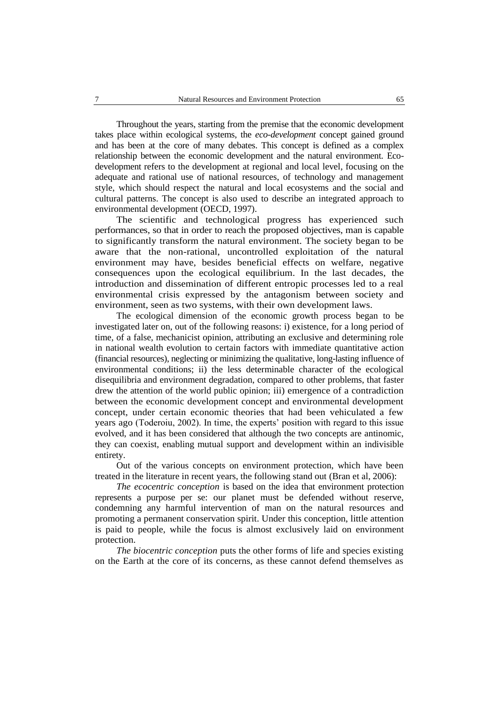Throughout the years, starting from the premise that the economic development takes place within ecological systems, the *eco-development* concept gained ground and has been at the core of many debates. This concept is defined as a complex relationship between the economic development and the natural environment. Ecodevelopment refers to the development at regional and local level, focusing on the adequate and rational use of national resources, of technology and management style, which should respect the natural and local ecosystems and the social and cultural patterns. The concept is also used to describe an integrated approach to environmental development (OECD, 1997).

The scientific and technological progress has experienced such performances, so that in order to reach the proposed objectives, man is capable to significantly transform the natural environment. The society began to be aware that the non-rational, uncontrolled exploitation of the natural environment may have, besides beneficial effects on welfare, negative consequences upon the ecological equilibrium. In the last decades, the introduction and dissemination of different entropic processes led to a real environmental crisis expressed by the antagonism between society and environment, seen as two systems, with their own development laws.

The ecological dimension of the economic growth process began to be investigated later on, out of the following reasons: i) existence, for a long period of time, of a false, mechanicist opinion, attributing an exclusive and determining role in national wealth evolution to certain factors with immediate quantitative action (financial resources), neglecting or minimizing the qualitative, long-lasting influence of environmental conditions; ii) the less determinable character of the ecological disequilibria and environment degradation, compared to other problems, that faster drew the attention of the world public opinion; iii) emergence of a contradiction between the economic development concept and environmental development concept, under certain economic theories that had been vehiculated a few years ago (Toderoiu, 2002). In time, the experts' position with regard to this issue evolved, and it has been considered that although the two concepts are antinomic, they can coexist, enabling mutual support and development within an indivisible entirety.

Out of the various concepts on environment protection, which have been treated in the literature in recent years, the following stand out (Bran et al, 2006):

*The ecocentric conception* is based on the idea that environment protection represents a purpose per se: our planet must be defended without reserve, condemning any harmful intervention of man on the natural resources and promoting a permanent conservation spirit. Under this conception, little attention is paid to people, while the focus is almost exclusively laid on environment protection.

*The biocentric conception* puts the other forms of life and species existing on the Earth at the core of its concerns, as these cannot defend themselves as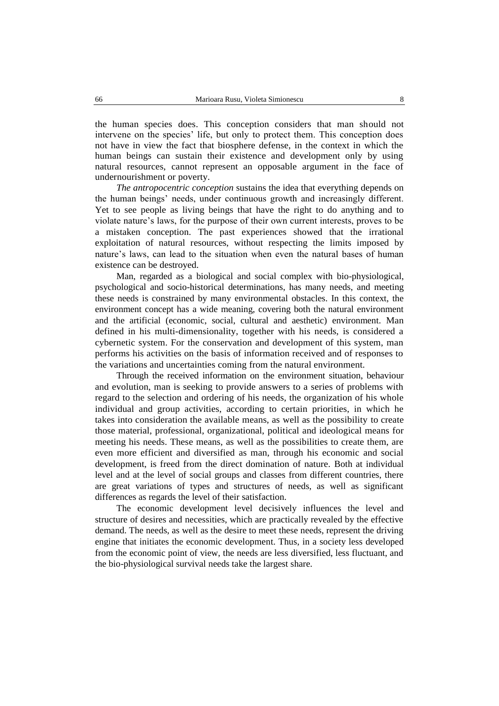the human species does. This conception considers that man should not intervene on the species' life, but only to protect them. This conception does not have in view the fact that biosphere defense, in the context in which the human beings can sustain their existence and development only by using natural resources, cannot represent an opposable argument in the face of undernourishment or poverty.

*The antropocentric conception* sustains the idea that everything depends on the human beings' needs, under continuous growth and increasingly different. Yet to see people as living beings that have the right to do anything and to violate nature's laws, for the purpose of their own current interests, proves to be a mistaken conception. The past experiences showed that the irrational exploitation of natural resources, without respecting the limits imposed by nature's laws, can lead to the situation when even the natural bases of human existence can be destroyed.

Man, regarded as a biological and social complex with bio-physiological, psychological and socio-historical determinations, has many needs, and meeting these needs is constrained by many environmental obstacles. In this context, the environment concept has a wide meaning, covering both the natural environment and the artificial (economic, social, cultural and aesthetic) environment. Man defined in his multi-dimensionality, together with his needs, is considered a cybernetic system. For the conservation and development of this system, man performs his activities on the basis of information received and of responses to the variations and uncertainties coming from the natural environment.

Through the received information on the environment situation, behaviour and evolution, man is seeking to provide answers to a series of problems with regard to the selection and ordering of his needs, the organization of his whole individual and group activities, according to certain priorities, in which he takes into consideration the available means, as well as the possibility to create those material, professional, organizational, political and ideological means for meeting his needs. These means, as well as the possibilities to create them, are even more efficient and diversified as man, through his economic and social development, is freed from the direct domination of nature. Both at individual level and at the level of social groups and classes from different countries, there are great variations of types and structures of needs, as well as significant differences as regards the level of their satisfaction.

The economic development level decisively influences the level and structure of desires and necessities, which are practically revealed by the effective demand. The needs, as well as the desire to meet these needs, represent the driving engine that initiates the economic development. Thus, in a society less developed from the economic point of view, the needs are less diversified, less fluctuant, and the bio-physiological survival needs take the largest share.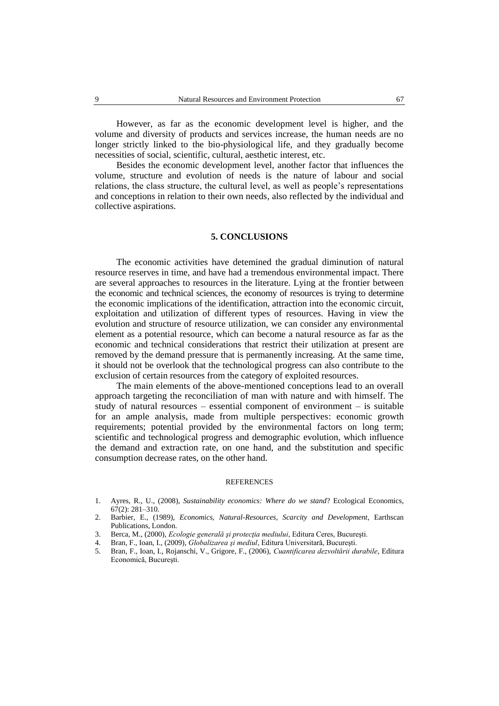However, as far as the economic development level is higher, and the volume and diversity of products and services increase, the human needs are no longer strictly linked to the bio-physiological life, and they gradually become necessities of social, scientific, cultural, aesthetic interest, etc.

Besides the economic development level, another factor that influences the volume, structure and evolution of needs is the nature of labour and social relations, the class structure, the cultural level, as well as people's representations and conceptions in relation to their own needs, also reflected by the individual and collective aspirations.

### **5. CONCLUSIONS**

The economic activities have detemined the gradual diminution of natural resource reserves in time, and have had a tremendous environmental impact. There are several approaches to resources in the literature. Lying at the frontier between the economic and technical sciences, the economy of resources is trying to determine the economic implications of the identification, attraction into the economic circuit, exploitation and utilization of different types of resources. Having in view the evolution and structure of resource utilization, we can consider any environmental element as a potential resource, which can become a natural resource as far as the economic and technical considerations that restrict their utilization at present are removed by the demand pressure that is permanently increasing. At the same time, it should not be overlook that the technological progress can also contribute to the exclusion of certain resources from the category of exploited resources.

The main elements of the above-mentioned conceptions lead to an overall approach targeting the reconciliation of man with nature and with himself. The study of natural resources – essential component of environment – is suitable for an ample analysis, made from multiple perspectives: economic growth requirements; potential provided by the environmental factors on long term; scientific and technological progress and demographic evolution, which influence the demand and extraction rate, on one hand, and the substitution and specific consumption decrease rates, on the other hand.

#### REFERENCES

- 1. Ayres, R., U., (2008), *Sustainability economics: Where do we stand*? Ecological Economics, 67(2): 281–310.
- 2. Barbier, E., (1989), *Economics, Natural-Resources, Scarcity and Development*, Earthscan Publications, London.
- 3. Berca, M., (2000), *Ecologie generală şi protecţia mediului*, Editura Ceres, Bucureşti.
- 4. Bran, F., Ioan, I., (2009), *Globalizarea şi mediul*, Editura Universitară, Bucureşti.
- 5. Bran, F., Ioan, I., Rojanschi, V., Grigore, F., (2006), *Cuantificarea dezvoltării durabile*, Editura Economică, Bucureşti.